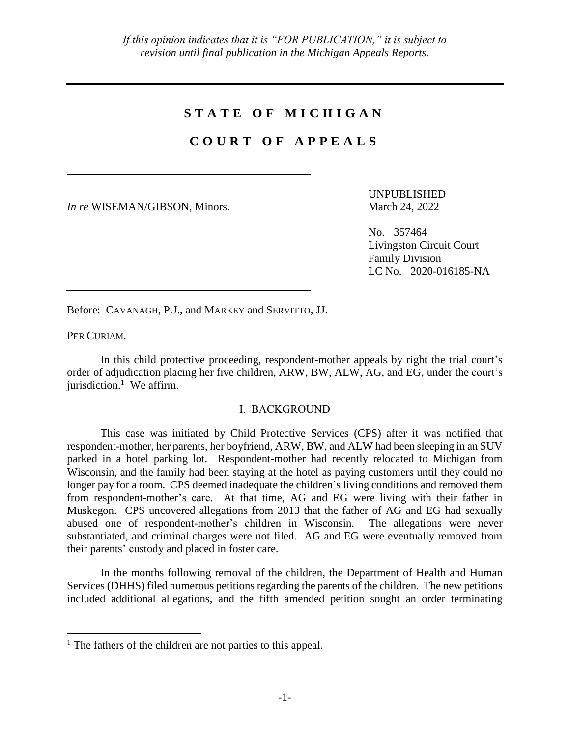# **S T A T E O F M I C H I G A N**

# **C O U R T O F A P P E A L S**

*In re* WISEMAN/GIBSON, Minors. March 24, 2022

UNPUBLISHED

No. 357464 Livingston Circuit Court Family Division LC No. 2020-016185-NA

Before: CAVANAGH, P.J., and MARKEY and SERVITTO, JJ.

PER CURIAM.

 $\overline{a}$ 

In this child protective proceeding, respondent-mother appeals by right the trial court's order of adjudication placing her five children, ARW, BW, ALW, AG, and EG, under the court's jurisdiction.<sup>1</sup> We affirm.

### I. BACKGROUND

This case was initiated by Child Protective Services (CPS) after it was notified that respondent-mother, her parents, her boyfriend, ARW, BW, and ALW had been sleeping in an SUV parked in a hotel parking lot. Respondent-mother had recently relocated to Michigan from Wisconsin, and the family had been staying at the hotel as paying customers until they could no longer pay for a room. CPS deemed inadequate the children's living conditions and removed them from respondent-mother's care. At that time, AG and EG were living with their father in Muskegon. CPS uncovered allegations from 2013 that the father of AG and EG had sexually abused one of respondent-mother's children in Wisconsin. The allegations were never substantiated, and criminal charges were not filed. AG and EG were eventually removed from their parents' custody and placed in foster care.

In the months following removal of the children, the Department of Health and Human Services (DHHS) filed numerous petitions regarding the parents of the children. The new petitions included additional allegations, and the fifth amended petition sought an order terminating

 $<sup>1</sup>$  The fathers of the children are not parties to this appeal.</sup>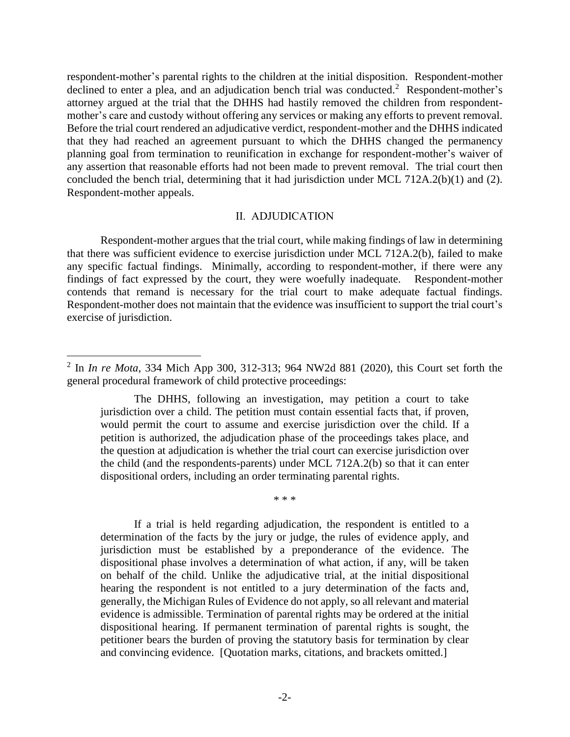respondent-mother's parental rights to the children at the initial disposition. Respondent-mother declined to enter a plea, and an adjudication bench trial was conducted.<sup>2</sup> Respondent-mother's attorney argued at the trial that the DHHS had hastily removed the children from respondentmother's care and custody without offering any services or making any efforts to prevent removal. Before the trial court rendered an adjudicative verdict, respondent-mother and the DHHS indicated that they had reached an agreement pursuant to which the DHHS changed the permanency planning goal from termination to reunification in exchange for respondent-mother's waiver of any assertion that reasonable efforts had not been made to prevent removal. The trial court then concluded the bench trial, determining that it had jurisdiction under MCL 712A.2(b)(1) and (2). Respondent-mother appeals.

#### II. ADJUDICATION

Respondent-mother argues that the trial court, while making findings of law in determining that there was sufficient evidence to exercise jurisdiction under MCL 712A.2(b), failed to make any specific factual findings. Minimally, according to respondent-mother, if there were any findings of fact expressed by the court, they were woefully inadequate. Respondent-mother contends that remand is necessary for the trial court to make adequate factual findings. Respondent-mother does not maintain that the evidence was insufficient to support the trial court's exercise of jurisdiction.

 $\overline{a}$ 

\* \* \*

If a trial is held regarding adjudication, the respondent is entitled to a determination of the facts by the jury or judge, the rules of evidence apply, and jurisdiction must be established by a preponderance of the evidence. The dispositional phase involves a determination of what action, if any, will be taken on behalf of the child. Unlike the adjudicative trial, at the initial dispositional hearing the respondent is not entitled to a jury determination of the facts and, generally, the Michigan Rules of Evidence do not apply, so all relevant and material evidence is admissible. Termination of parental rights may be ordered at the initial dispositional hearing. If permanent termination of parental rights is sought, the petitioner bears the burden of proving the statutory basis for termination by clear and convincing evidence. [Quotation marks, citations, and brackets omitted.]

<sup>2</sup> In *In re Mota*, 334 Mich App 300, 312-313; 964 NW2d 881 (2020), this Court set forth the general procedural framework of child protective proceedings:

The DHHS, following an investigation, may petition a court to take jurisdiction over a child. The petition must contain essential facts that, if proven, would permit the court to assume and exercise jurisdiction over the child. If a petition is authorized, the adjudication phase of the proceedings takes place, and the question at adjudication is whether the trial court can exercise jurisdiction over the child (and the respondents-parents) under MCL 712A.2(b) so that it can enter dispositional orders, including an order terminating parental rights.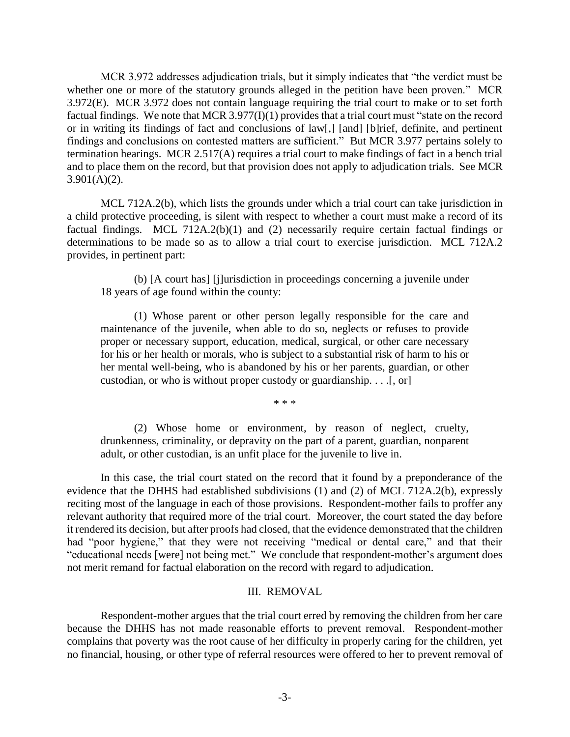MCR 3.972 addresses adjudication trials, but it simply indicates that "the verdict must be whether one or more of the statutory grounds alleged in the petition have been proven." MCR 3.972(E). MCR 3.972 does not contain language requiring the trial court to make or to set forth factual findings. We note that MCR 3.977(I)(1) provides that a trial court must "state on the record or in writing its findings of fact and conclusions of law[,] [and] [b]rief, definite, and pertinent findings and conclusions on contested matters are sufficient." But MCR 3.977 pertains solely to termination hearings. MCR 2.517(A) requires a trial court to make findings of fact in a bench trial and to place them on the record, but that provision does not apply to adjudication trials. See MCR  $3.901(A)(2)$ .

MCL 712A.2(b), which lists the grounds under which a trial court can take jurisdiction in a child protective proceeding, is silent with respect to whether a court must make a record of its factual findings. MCL 712A.2(b)(1) and (2) necessarily require certain factual findings or determinations to be made so as to allow a trial court to exercise jurisdiction. MCL 712A.2 provides, in pertinent part:

(b) [A court has] [j]urisdiction in proceedings concerning a juvenile under 18 years of age found within the county:

(1) Whose parent or other person legally responsible for the care and maintenance of the juvenile, when able to do so, neglects or refuses to provide proper or necessary support, education, medical, surgical, or other care necessary for his or her health or morals, who is subject to a substantial risk of harm to his or her mental well-being, who is abandoned by his or her parents, guardian, or other custodian, or who is without proper custody or guardianship. . . .[, or]

\* \* \*

(2) Whose home or environment, by reason of neglect, cruelty, drunkenness, criminality, or depravity on the part of a parent, guardian, nonparent adult, or other custodian, is an unfit place for the juvenile to live in.

In this case, the trial court stated on the record that it found by a preponderance of the evidence that the DHHS had established subdivisions (1) and (2) of MCL 712A.2(b), expressly reciting most of the language in each of those provisions. Respondent-mother fails to proffer any relevant authority that required more of the trial court. Moreover, the court stated the day before it rendered its decision, but after proofs had closed, that the evidence demonstrated that the children had "poor hygiene," that they were not receiving "medical or dental care," and that their "educational needs [were] not being met." We conclude that respondent-mother's argument does not merit remand for factual elaboration on the record with regard to adjudication.

### III. REMOVAL

Respondent-mother argues that the trial court erred by removing the children from her care because the DHHS has not made reasonable efforts to prevent removal. Respondent-mother complains that poverty was the root cause of her difficulty in properly caring for the children, yet no financial, housing, or other type of referral resources were offered to her to prevent removal of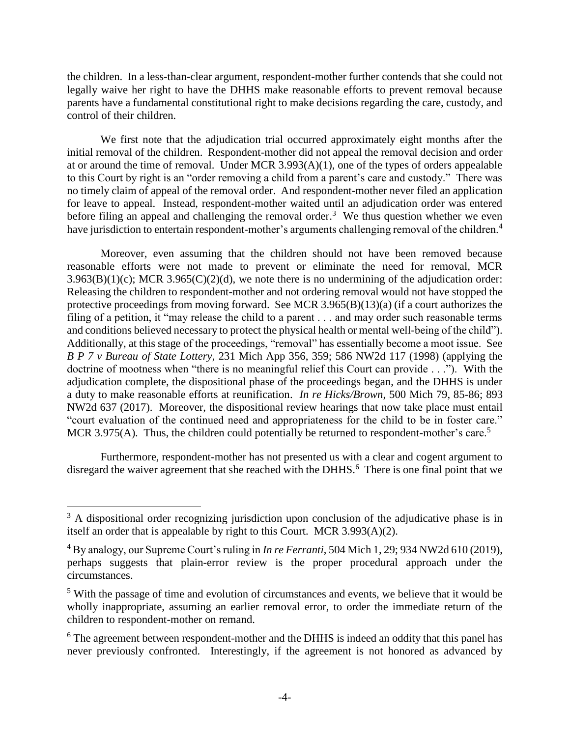the children. In a less-than-clear argument, respondent-mother further contends that she could not legally waive her right to have the DHHS make reasonable efforts to prevent removal because parents have a fundamental constitutional right to make decisions regarding the care, custody, and control of their children.

We first note that the adjudication trial occurred approximately eight months after the initial removal of the children. Respondent-mother did not appeal the removal decision and order at or around the time of removal. Under MCR 3.993(A)(1), one of the types of orders appealable to this Court by right is an "order removing a child from a parent's care and custody." There was no timely claim of appeal of the removal order. And respondent-mother never filed an application for leave to appeal. Instead, respondent-mother waited until an adjudication order was entered before filing an appeal and challenging the removal order.<sup>3</sup> We thus question whether we even have jurisdiction to entertain respondent-mother's arguments challenging removal of the children.<sup>4</sup>

Moreover, even assuming that the children should not have been removed because reasonable efforts were not made to prevent or eliminate the need for removal, MCR  $3.963(B)(1)(c)$ ; MCR  $3.965(C)(2)(d)$ , we note there is no undermining of the adjudication order: Releasing the children to respondent-mother and not ordering removal would not have stopped the protective proceedings from moving forward. See MCR 3.965(B)(13)(a) (if a court authorizes the filing of a petition, it "may release the child to a parent . . . and may order such reasonable terms and conditions believed necessary to protect the physical health or mental well-being of the child"). Additionally, at this stage of the proceedings, "removal" has essentially become a moot issue. See *B P 7 v Bureau of State Lottery*, 231 Mich App 356, 359; 586 NW2d 117 (1998) (applying the doctrine of mootness when "there is no meaningful relief this Court can provide . . ."). With the adjudication complete, the dispositional phase of the proceedings began, and the DHHS is under a duty to make reasonable efforts at reunification. *In re Hicks/Brown*, 500 Mich 79, 85-86; 893 NW2d 637 (2017). Moreover, the dispositional review hearings that now take place must entail "court evaluation of the continued need and appropriateness for the child to be in foster care." MCR 3.975(A). Thus, the children could potentially be returned to respondent-mother's care.<sup>5</sup>

Furthermore, respondent-mother has not presented us with a clear and cogent argument to disregard the waiver agreement that she reached with the DHHS.<sup>6</sup> There is one final point that we

 $\overline{a}$ 

 $3 \text{ A}$  dispositional order recognizing jurisdiction upon conclusion of the adjudicative phase is in itself an order that is appealable by right to this Court. MCR 3.993(A)(2).

<sup>4</sup> By analogy, our Supreme Court's ruling in *In re Ferranti*, 504 Mich 1, 29; 934 NW2d 610 (2019), perhaps suggests that plain-error review is the proper procedural approach under the circumstances.

<sup>&</sup>lt;sup>5</sup> With the passage of time and evolution of circumstances and events, we believe that it would be wholly inappropriate, assuming an earlier removal error, to order the immediate return of the children to respondent-mother on remand.

<sup>&</sup>lt;sup>6</sup> The agreement between respondent-mother and the DHHS is indeed an oddity that this panel has never previously confronted. Interestingly, if the agreement is not honored as advanced by